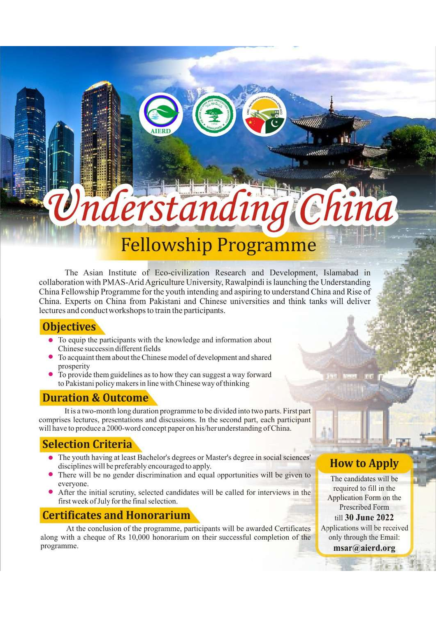# lerstandi **Fellowship Programme**

The Asian Institute of Eco-civilization Research and Development, Islamabad in collaboration with PMAS-Arid Agriculture University, Rawalpindi is launching the Understanding China Fellowship Programme for the youth intending and aspiring to understand China and Rise of China. Experts on China from Pakistani and Chinese universities and think tanks will deliver lectures and conduct workshops to train the participants.

### **Objectives**

- To equip the participants with the knowledge and information about Chinese successin different fields
- To acquaint them about the Chinese model of development and shared prosperity
- To provide them guidelines as to how they can suggest a way forward to Pakistani policy makers in line with Chinese way of thinking

# **Duration & Outcome**

It is a two-month long duration programme to be divided into two parts. First part comprises lectures, presentations and discussions. In the second part, each participant will have to produce a 2000-word concept paper on his/her understanding of China.

# **Selection Criteria**

- The youth having at least Bachelor's degrees or Master's degree in social sciences' disciplines will be preferably encouraged to apply.
- There will be no gender discrimination and equal opportunities will be given to evervone.
- After the initial scrutiny, selected candidates will be called for interviews in the first week of July for the final selection.

# **Certificates and Honorarium**

At the conclusion of the programme, participants will be awarded Certificates along with a cheque of Rs 10,000 honorarium on their successful completion of the programme.

# **How to Apply**

The candidates will be required to fill in the Application Form on the **Prescribed Form** till 30 June 2022 Applications will be received only through the Email: msar@aierd.org